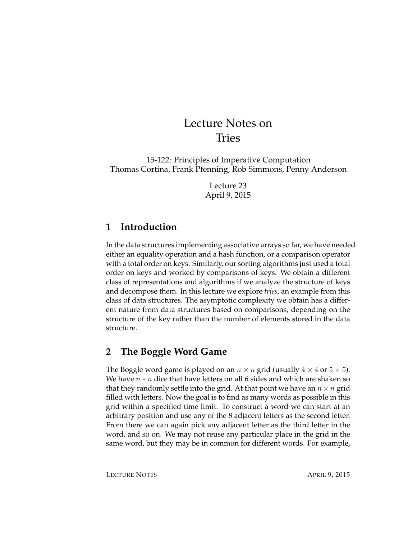# Lecture Notes on Tries

15-122: Principles of Imperative Computation Thomas Cortina, Frank Pfenning, Rob Simmons, Penny Anderson

> Lecture 23 April 9, 2015

## **1 Introduction**

In the data structures implementing associative arrays so far, we have needed either an equality operation and a hash function, or a comparison operator with a total order on keys. Similarly, our sorting algorithms just used a total order on keys and worked by comparisons of keys. We obtain a different class of representations and algorithms if we analyze the structure of keys and decompose them. In this lecture we explore *tries*, an example from this class of data structures. The asymptotic complexity we obtain has a different nature from data structures based on comparisons, depending on the structure of the key rather than the number of elements stored in the data structure.

# **2 The Boggle Word Game**

The Boggle word game is played on an  $n \times n$  grid (usually  $4 \times 4$  or  $5 \times 5$ ). We have  $n * n$  dice that have letters on all 6 sides and which are shaken so that they randomly settle into the grid. At that point we have an  $n \times n$  grid filled with letters. Now the goal is to find as many words as possible in this grid within a specified time limit. To construct a word we can start at an arbitrary position and use any of the 8 adjacent letters as the second letter. From there we can again pick any adjacent letter as the third letter in the word, and so on. We may not reuse any particular place in the grid in the same word, but they may be in common for different words. For example,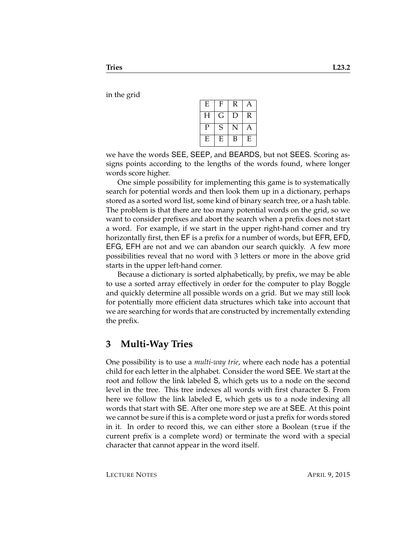in the grid

| E | F | R | Α |
|---|---|---|---|
| Н | G | D | R |
| P | S | N | Α |
| E | E | В | E |

we have the words SEE, SEEP, and BEARDS, but not SEES. Scoring assigns points according to the lengths of the words found, where longer words score higher.

One simple possibility for implementing this game is to systematically search for potential words and then look them up in a dictionary, perhaps stored as a sorted word list, some kind of binary search tree, or a hash table. The problem is that there are too many potential words on the grid, so we want to consider prefixes and abort the search when a prefix does not start a word. For example, if we start in the upper right-hand corner and try horizontally first, then EF is a prefix for a number of words, but EFR, EFD, EFG, EFH are not and we can abandon our search quickly. A few more possibilities reveal that no word with 3 letters or more in the above grid starts in the upper left-hand corner.

Because a dictionary is sorted alphabetically, by prefix, we may be able to use a sorted array effectively in order for the computer to play Boggle and quickly determine all possible words on a grid. But we may still look for potentially more efficient data structures which take into account that we are searching for words that are constructed by incrementally extending the prefix.

#### **3 Multi-Way Tries**

One possibility is to use a *multi-way trie*, where each node has a potential child for each letter in the alphabet. Consider the word SEE. We start at the root and follow the link labeled S, which gets us to a node on the second level in the tree. This tree indexes all words with first character S. From here we follow the link labeled E, which gets us to a node indexing all words that start with SE. After one more step we are at SEE. At this point we cannot be sure if this is a complete word or just a prefix for words stored in it. In order to record this, we can either store a Boolean (true if the current prefix is a complete word) or terminate the word with a special character that cannot appear in the word itself.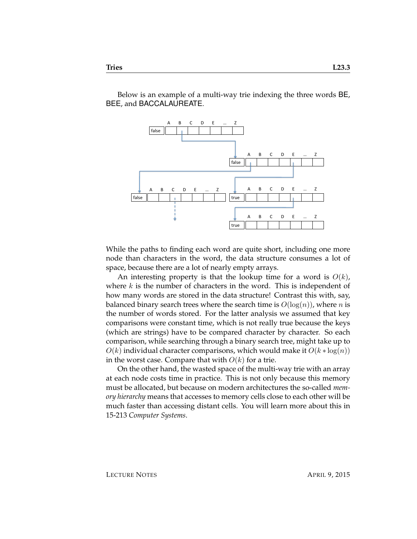Below is an example of a multi-way trie indexing the three words BE, BEE, and BACCALAUREATE.



While the paths to finding each word are quite short, including one more node than characters in the word, the data structure consumes a lot of space, because there are a lot of nearly empty arrays.

An interesting property is that the lookup time for a word is  $O(k)$ , where  $k$  is the number of characters in the word. This is independent of how many words are stored in the data structure! Contrast this with, say, balanced binary search trees where the search time is  $O(log(n))$ , where n is the number of words stored. For the latter analysis we assumed that key comparisons were constant time, which is not really true because the keys (which are strings) have to be compared character by character. So each comparison, while searching through a binary search tree, might take up to  $O(k)$  individual character comparisons, which would make it  $O(k * log(n))$ in the worst case. Compare that with  $O(k)$  for a trie.

On the other hand, the wasted space of the multi-way trie with an array at each node costs time in practice. This is not only because this memory must be allocated, but because on modern architectures the so-called *memory hierarchy* means that accesses to memory cells close to each other will be much faster than accessing distant cells. You will learn more about this in 15-213 *Computer Systems*.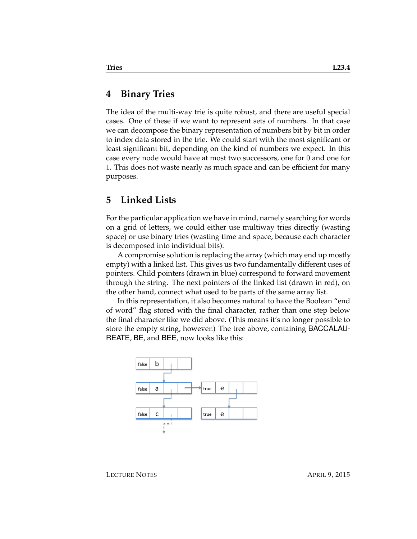#### **4 Binary Tries**

The idea of the multi-way trie is quite robust, and there are useful special cases. One of these if we want to represent sets of numbers. In that case we can decompose the binary representation of numbers bit by bit in order to index data stored in the trie. We could start with the most significant or least significant bit, depending on the kind of numbers we expect. In this case every node would have at most two successors, one for 0 and one for 1. This does not waste nearly as much space and can be efficient for many purposes.

#### **5 Linked Lists**

For the particular application we have in mind, namely searching for words on a grid of letters, we could either use multiway tries directly (wasting space) or use binary tries (wasting time and space, because each character is decomposed into individual bits).

A compromise solution is replacing the array (which may end up mostly empty) with a linked list. This gives us two fundamentally different uses of pointers. Child pointers (drawn in blue) correspond to forward movement through the string. The next pointers of the linked list (drawn in red), on the other hand, connect what used to be parts of the same array list.

In this representation, it also becomes natural to have the Boolean "end of word" flag stored with the final character, rather than one step below the final character like we did above. (This means it's no longer possible to store the empty string, however.) The tree above, containing BACCALAU-REATE, BE, and BEE, now looks like this:

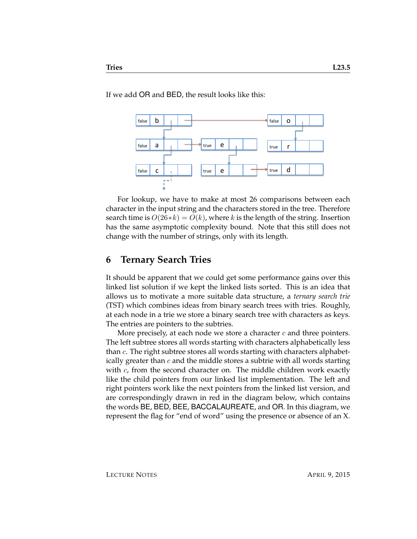If we add OR and BED, the result looks like this:



For lookup, we have to make at most 26 comparisons between each character in the input string and the characters stored in the tree. Therefore search time is  $O(26*k) = O(k)$ , where k is the length of the string. Insertion has the same asymptotic complexity bound. Note that this still does not change with the number of strings, only with its length.

## **6 Ternary Search Tries**

It should be apparent that we could get some performance gains over this linked list solution if we kept the linked lists sorted. This is an idea that allows us to motivate a more suitable data structure, a *ternary search trie* (TST) which combines ideas from binary search trees with tries. Roughly, at each node in a trie we store a binary search tree with characters as keys. The entries are pointers to the subtries.

More precisely, at each node we store a character  $c$  and three pointers. The left subtree stores all words starting with characters alphabetically less than  $c$ . The right subtree stores all words starting with characters alphabetically greater than  $c$  and the middle stores a subtrie with all words starting with  $c$ , from the second character on. The middle children work exactly like the child pointers from our linked list implementation. The left and right pointers work like the next pointers from the linked list version, and are correspondingly drawn in red in the diagram below, which contains the words BE, BED, BEE, BACCALAUREATE, and OR. In this diagram, we represent the flag for "end of word" using the presence or absence of an X.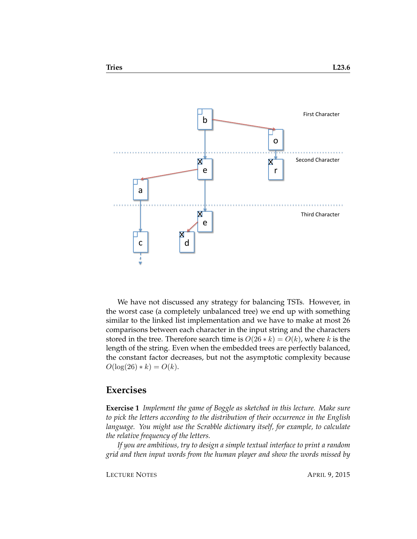

We have not discussed any strategy for balancing TSTs. However, in the worst case (a completely unbalanced tree) we end up with something similar to the linked list implementation and we have to make at most 26 comparisons between each character in the input string and the characters stored in the tree. Therefore search time is  $O(26 * k) = O(k)$ , where k is the length of the string. Even when the embedded trees are perfectly balanced, the constant factor decreases, but not the asymptotic complexity because  $O(\log(26) * k) = O(k)$ .

#### **Exercises**

**Exercise 1** *Implement the game of Boggle as sketched in this lecture. Make sure to pick the letters according to the distribution of their occurrence in the English language. You might use the Scrabble dictionary itself, for example, to calculate the relative frequency of the letters.*

*If you are ambitious, try to design a simple textual interface to print a random grid and then input words from the human player and show the words missed by*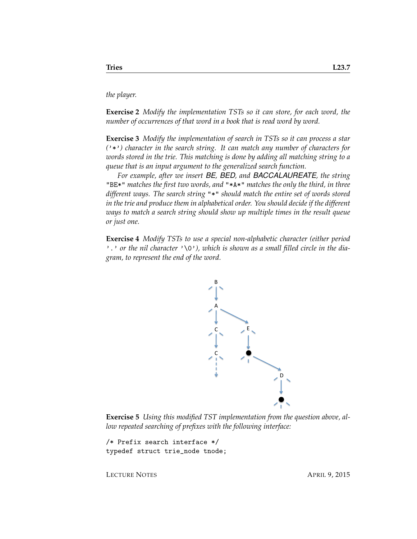*the player.*

**Exercise 2** *Modify the implementation TSTs so it can store, for each word, the number of occurrences of that word in a book that is read word by word.*

**Exercise 3** *Modify the implementation of search in TSTs so it can process a star (*'\*'*) character in the search string. It can match any number of characters for words stored in the trie. This matching is done by adding all matching string to a queue that is an input argument to the generalized search function.*

*For example, after we insert BE, BED, and BACCALAUREATE, the string* "BE\*" *matches the first two words, and* "\*A\*" *matches the only the third, in three different ways. The search string* "\*" *should match the entire set of words stored in the trie and produce them in alphabetical order. You should decide if the different ways to match a search string should show up multiple times in the result queue or just one.*

**Exercise 4** *Modify TSTs to use a special non-alphabetic character (either period* '.' or the nil character '\0'), which is shown as a small filled circle in the dia*gram, to represent the end of the word.*



**Exercise 5** *Using this modified TST implementation from the question above, allow repeated searching of prefixes with the following interface:*

/\* Prefix search interface \*/ typedef struct trie\_node tnode;